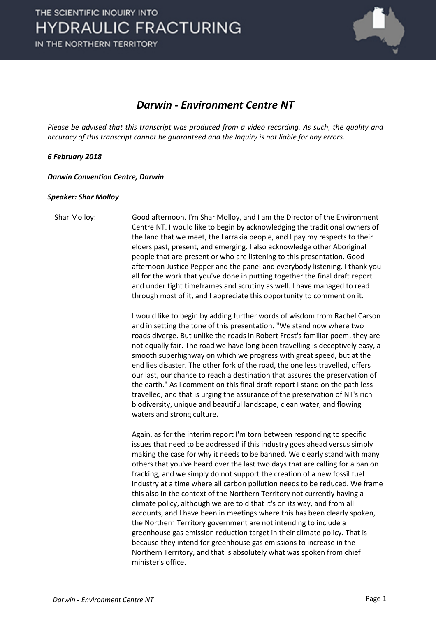

# *Darwin - Environment Centre NT*

*Please be advised that this transcript was produced from a video recording. As such, the quality and accuracy of this transcript cannot be guaranteed and the Inquiry is not liable for any errors.*

## *6 February 2018*

#### *Darwin Convention Centre, Darwin*

## *Speaker: Shar Molloy*

Shar Molloy: Good afternoon. I'm Shar Molloy, and I am the Director of the Environment Centre NT. I would like to begin by acknowledging the traditional owners of the land that we meet, the Larrakia people, and I pay my respects to their elders past, present, and emerging. I also acknowledge other Aboriginal people that are present or who are listening to this presentation. Good afternoon Justice Pepper and the panel and everybody listening. I thank you all for the work that you've done in putting together the final draft report and under tight timeframes and scrutiny as well. I have managed to read through most of it, and I appreciate this opportunity to comment on it.

> I would like to begin by adding further words of wisdom from Rachel Carson and in setting the tone of this presentation. "We stand now where two roads diverge. But unlike the roads in Robert Frost's familiar poem, they are not equally fair. The road we have long been travelling is deceptively easy, a smooth superhighway on which we progress with great speed, but at the end lies disaster. The other fork of the road, the one less travelled, offers our last, our chance to reach a destination that assures the preservation of the earth." As I comment on this final draft report I stand on the path less travelled, and that is urging the assurance of the preservation of NT's rich biodiversity, unique and beautiful landscape, clean water, and flowing waters and strong culture.

> Again, as for the interim report I'm torn between responding to specific issues that need to be addressed if this industry goes ahead versus simply making the case for why it needs to be banned. We clearly stand with many others that you've heard over the last two days that are calling for a ban on fracking, and we simply do not support the creation of a new fossil fuel industry at a time where all carbon pollution needs to be reduced. We frame this also in the context of the Northern Territory not currently having a climate policy, although we are told that it's on its way, and from all accounts, and I have been in meetings where this has been clearly spoken, the Northern Territory government are not intending to include a greenhouse gas emission reduction target in their climate policy. That is because they intend for greenhouse gas emissions to increase in the Northern Territory, and that is absolutely what was spoken from chief minister's office.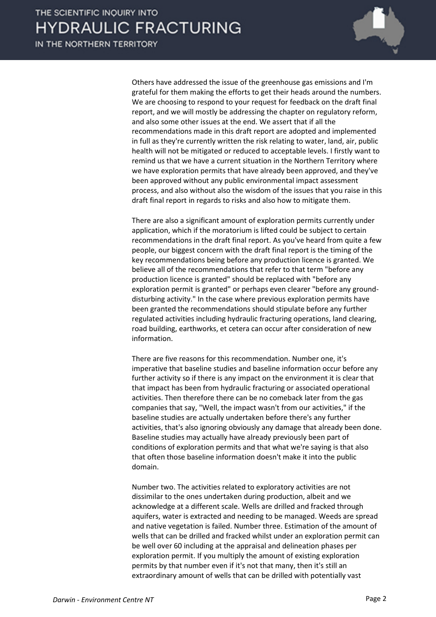IN THE NORTHERN TERRITORY



Others have addressed the issue of the greenhouse gas emissions and I'm grateful for them making the efforts to get their heads around the numbers. We are choosing to respond to your request for feedback on the draft final report, and we will mostly be addressing the chapter on regulatory reform, and also some other issues at the end. We assert that if all the recommendations made in this draft report are adopted and implemented in full as they're currently written the risk relating to water, land, air, public health will not be mitigated or reduced to acceptable levels. I firstly want to remind us that we have a current situation in the Northern Territory where we have exploration permits that have already been approved, and they've been approved without any public environmental impact assessment process, and also without also the wisdom of the issues that you raise in this draft final report in regards to risks and also how to mitigate them.

There are also a significant amount of exploration permits currently under application, which if the moratorium is lifted could be subject to certain recommendations in the draft final report. As you've heard from quite a few people, our biggest concern with the draft final report is the timing of the key recommendations being before any production licence is granted. We believe all of the recommendations that refer to that term "before any production licence is granted" should be replaced with "before any exploration permit is granted" or perhaps even clearer "before any grounddisturbing activity." In the case where previous exploration permits have been granted the recommendations should stipulate before any further regulated activities including hydraulic fracturing operations, land clearing, road building, earthworks, et cetera can occur after consideration of new information.

There are five reasons for this recommendation. Number one, it's imperative that baseline studies and baseline information occur before any further activity so if there is any impact on the environment it is clear that that impact has been from hydraulic fracturing or associated operational activities. Then therefore there can be no comeback later from the gas companies that say, "Well, the impact wasn't from our activities," if the baseline studies are actually undertaken before there's any further activities, that's also ignoring obviously any damage that already been done. Baseline studies may actually have already previously been part of conditions of exploration permits and that what we're saying is that also that often those baseline information doesn't make it into the public domain.

Number two. The activities related to exploratory activities are not dissimilar to the ones undertaken during production, albeit and we acknowledge at a different scale. Wells are drilled and fracked through aquifers, water is extracted and needing to be managed. Weeds are spread and native vegetation is failed. Number three. Estimation of the amount of wells that can be drilled and fracked whilst under an exploration permit can be well over 60 including at the appraisal and delineation phases per exploration permit. If you multiply the amount of existing exploration permits by that number even if it's not that many, then it's still an extraordinary amount of wells that can be drilled with potentially vast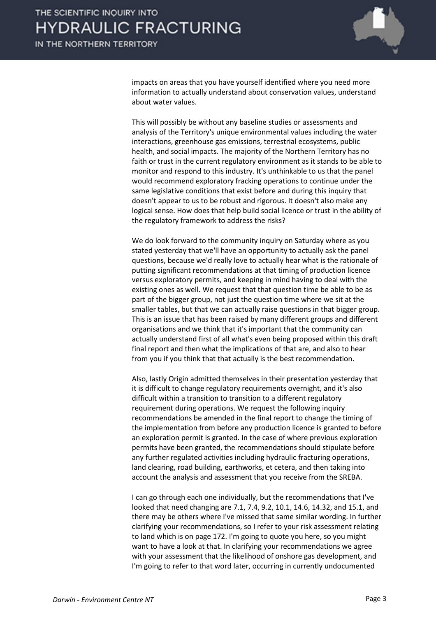

impacts on areas that you have yourself identified where you need more information to actually understand about conservation values, understand about water values.

This will possibly be without any baseline studies or assessments and analysis of the Territory's unique environmental values including the water interactions, greenhouse gas emissions, terrestrial ecosystems, public health, and social impacts. The majority of the Northern Territory has no faith or trust in the current regulatory environment as it stands to be able to monitor and respond to this industry. It's unthinkable to us that the panel would recommend exploratory fracking operations to continue under the same legislative conditions that exist before and during this inquiry that doesn't appear to us to be robust and rigorous. It doesn't also make any logical sense. How does that help build social licence or trust in the ability of the regulatory framework to address the risks?

We do look forward to the community inquiry on Saturday where as you stated yesterday that we'll have an opportunity to actually ask the panel questions, because we'd really love to actually hear what is the rationale of putting significant recommendations at that timing of production licence versus exploratory permits, and keeping in mind having to deal with the existing ones as well. We request that that question time be able to be as part of the bigger group, not just the question time where we sit at the smaller tables, but that we can actually raise questions in that bigger group. This is an issue that has been raised by many different groups and different organisations and we think that it's important that the community can actually understand first of all what's even being proposed within this draft final report and then what the implications of that are, and also to hear from you if you think that that actually is the best recommendation.

Also, lastly Origin admitted themselves in their presentation yesterday that it is difficult to change regulatory requirements overnight, and it's also difficult within a transition to transition to a different regulatory requirement during operations. We request the following inquiry recommendations be amended in the final report to change the timing of the implementation from before any production licence is granted to before an exploration permit is granted. In the case of where previous exploration permits have been granted, the recommendations should stipulate before any further regulated activities including hydraulic fracturing operations, land clearing, road building, earthworks, et cetera, and then taking into account the analysis and assessment that you receive from the SREBA.

I can go through each one individually, but the recommendations that I've looked that need changing are 7.1, 7.4, 9.2, 10.1, 14.6, 14.32, and 15.1, and there may be others where I've missed that same similar wording. In further clarifying your recommendations, so I refer to your risk assessment relating to land which is on page 172. I'm going to quote you here, so you might want to have a look at that. In clarifying your recommendations we agree with your assessment that the likelihood of onshore gas development, and I'm going to refer to that word later, occurring in currently undocumented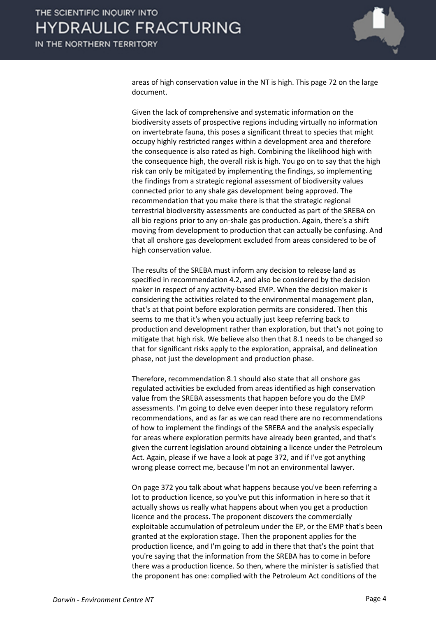

areas of high conservation value in the NT is high. This page 72 on the large document.

Given the lack of comprehensive and systematic information on the biodiversity assets of prospective regions including virtually no information on invertebrate fauna, this poses a significant threat to species that might occupy highly restricted ranges within a development area and therefore the consequence is also rated as high. Combining the likelihood high with the consequence high, the overall risk is high. You go on to say that the high risk can only be mitigated by implementing the findings, so implementing the findings from a strategic regional assessment of biodiversity values connected prior to any shale gas development being approved. The recommendation that you make there is that the strategic regional terrestrial biodiversity assessments are conducted as part of the SREBA on all bio regions prior to any on-shale gas production. Again, there's a shift moving from development to production that can actually be confusing. And that all onshore gas development excluded from areas considered to be of high conservation value.

The results of the SREBA must inform any decision to release land as specified in recommendation 4.2, and also be considered by the decision maker in respect of any activity-based EMP. When the decision maker is considering the activities related to the environmental management plan, that's at that point before exploration permits are considered. Then this seems to me that it's when you actually just keep referring back to production and development rather than exploration, but that's not going to mitigate that high risk. We believe also then that 8.1 needs to be changed so that for significant risks apply to the exploration, appraisal, and delineation phase, not just the development and production phase.

Therefore, recommendation 8.1 should also state that all onshore gas regulated activities be excluded from areas identified as high conservation value from the SREBA assessments that happen before you do the EMP assessments. I'm going to delve even deeper into these regulatory reform recommendations, and as far as we can read there are no recommendations of how to implement the findings of the SREBA and the analysis especially for areas where exploration permits have already been granted, and that's given the current legislation around obtaining a licence under the Petroleum Act. Again, please if we have a look at page 372, and if I've got anything wrong please correct me, because I'm not an environmental lawyer.

On page 372 you talk about what happens because you've been referring a lot to production licence, so you've put this information in here so that it actually shows us really what happens about when you get a production licence and the process. The proponent discovers the commercially exploitable accumulation of petroleum under the EP, or the EMP that's been granted at the exploration stage. Then the proponent applies for the production licence, and I'm going to add in there that that's the point that you're saying that the information from the SREBA has to come in before there was a production licence. So then, where the minister is satisfied that the proponent has one: complied with the Petroleum Act conditions of the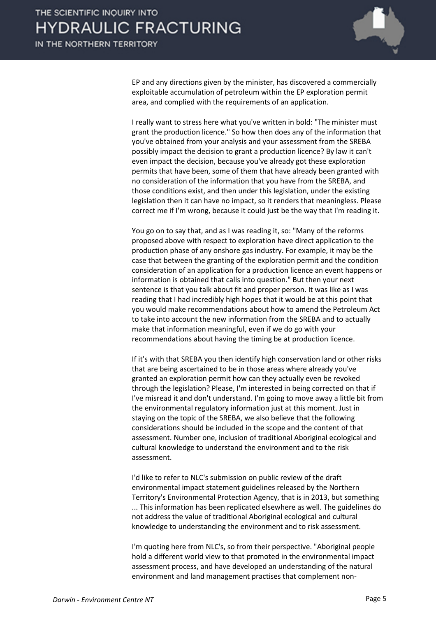

EP and any directions given by the minister, has discovered a commercially exploitable accumulation of petroleum within the EP exploration permit area, and complied with the requirements of an application.

I really want to stress here what you've written in bold: "The minister must grant the production licence." So how then does any of the information that you've obtained from your analysis and your assessment from the SREBA possibly impact the decision to grant a production licence? By law it can't even impact the decision, because you've already got these exploration permits that have been, some of them that have already been granted with no consideration of the information that you have from the SREBA, and those conditions exist, and then under this legislation, under the existing legislation then it can have no impact, so it renders that meaningless. Please correct me if I'm wrong, because it could just be the way that I'm reading it.

You go on to say that, and as I was reading it, so: "Many of the reforms proposed above with respect to exploration have direct application to the production phase of any onshore gas industry. For example, it may be the case that between the granting of the exploration permit and the condition consideration of an application for a production licence an event happens or information is obtained that calls into question." But then your next sentence is that you talk about fit and proper person. It was like as I was reading that I had incredibly high hopes that it would be at this point that you would make recommendations about how to amend the Petroleum Act to take into account the new information from the SREBA and to actually make that information meaningful, even if we do go with your recommendations about having the timing be at production licence.

If it's with that SREBA you then identify high conservation land or other risks that are being ascertained to be in those areas where already you've granted an exploration permit how can they actually even be revoked through the legislation? Please, I'm interested in being corrected on that if I've misread it and don't understand. I'm going to move away a little bit from the environmental regulatory information just at this moment. Just in staying on the topic of the SREBA, we also believe that the following considerations should be included in the scope and the content of that assessment. Number one, inclusion of traditional Aboriginal ecological and cultural knowledge to understand the environment and to the risk assessment.

I'd like to refer to NLC's submission on public review of the draft environmental impact statement guidelines released by the Northern Territory's Environmental Protection Agency, that is in 2013, but something ... This information has been replicated elsewhere as well. The guidelines do not address the value of traditional Aboriginal ecological and cultural knowledge to understanding the environment and to risk assessment.

I'm quoting here from NLC's, so from their perspective. "Aboriginal people hold a different world view to that promoted in the environmental impact assessment process, and have developed an understanding of the natural environment and land management practises that complement non-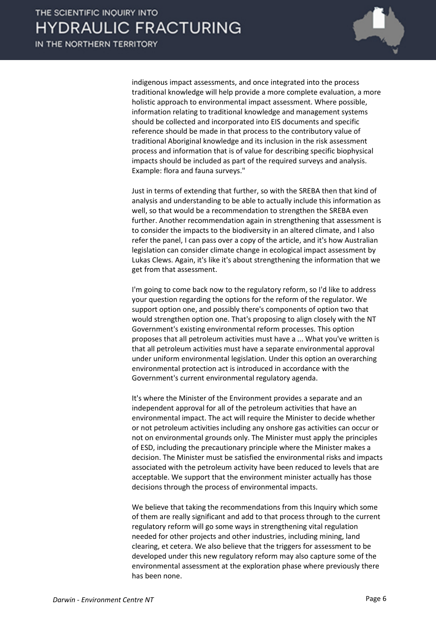

indigenous impact assessments, and once integrated into the process traditional knowledge will help provide a more complete evaluation, a more holistic approach to environmental impact assessment. Where possible, information relating to traditional knowledge and management systems should be collected and incorporated into EIS documents and specific reference should be made in that process to the contributory value of traditional Aboriginal knowledge and its inclusion in the risk assessment process and information that is of value for describing specific biophysical impacts should be included as part of the required surveys and analysis. Example: flora and fauna surveys."

Just in terms of extending that further, so with the SREBA then that kind of analysis and understanding to be able to actually include this information as well, so that would be a recommendation to strengthen the SREBA even further. Another recommendation again in strengthening that assessment is to consider the impacts to the biodiversity in an altered climate, and I also refer the panel, I can pass over a copy of the article, and it's how Australian legislation can consider climate change in ecological impact assessment by Lukas Clews. Again, it's like it's about strengthening the information that we get from that assessment.

I'm going to come back now to the regulatory reform, so I'd like to address your question regarding the options for the reform of the regulator. We support option one, and possibly there's components of option two that would strengthen option one. That's proposing to align closely with the NT Government's existing environmental reform processes. This option proposes that all petroleum activities must have a ... What you've written is that all petroleum activities must have a separate environmental approval under uniform environmental legislation. Under this option an overarching environmental protection act is introduced in accordance with the Government's current environmental regulatory agenda.

It's where the Minister of the Environment provides a separate and an independent approval for all of the petroleum activities that have an environmental impact. The act will require the Minister to decide whether or not petroleum activities including any onshore gas activities can occur or not on environmental grounds only. The Minister must apply the principles of ESD, including the precautionary principle where the Minister makes a decision. The Minister must be satisfied the environmental risks and impacts associated with the petroleum activity have been reduced to levels that are acceptable. We support that the environment minister actually has those decisions through the process of environmental impacts.

We believe that taking the recommendations from this Inquiry which some of them are really significant and add to that process through to the current regulatory reform will go some ways in strengthening vital regulation needed for other projects and other industries, including mining, land clearing, et cetera. We also believe that the triggers for assessment to be developed under this new regulatory reform may also capture some of the environmental assessment at the exploration phase where previously there has been none.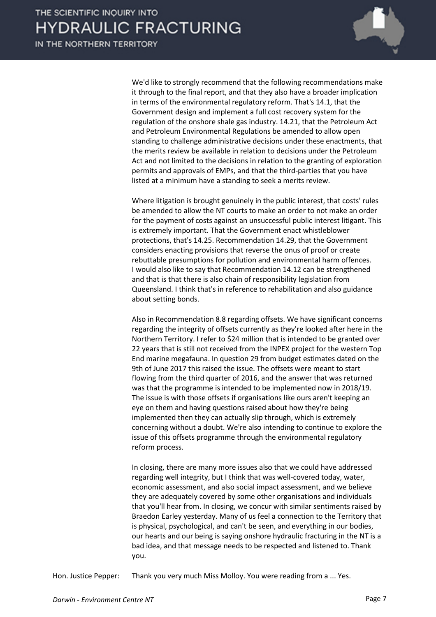IN THE NORTHERN TERRITORY



We'd like to strongly recommend that the following recommendations make it through to the final report, and that they also have a broader implication in terms of the environmental regulatory reform. That's 14.1, that the Government design and implement a full cost recovery system for the regulation of the onshore shale gas industry. 14.21, that the Petroleum Act and Petroleum Environmental Regulations be amended to allow open standing to challenge administrative decisions under these enactments, that the merits review be available in relation to decisions under the Petroleum Act and not limited to the decisions in relation to the granting of exploration permits and approvals of EMPs, and that the third-parties that you have listed at a minimum have a standing to seek a merits review.

Where litigation is brought genuinely in the public interest, that costs' rules be amended to allow the NT courts to make an order to not make an order for the payment of costs against an unsuccessful public interest litigant. This is extremely important. That the Government enact whistleblower protections, that's 14.25. Recommendation 14.29, that the Government considers enacting provisions that reverse the onus of proof or create rebuttable presumptions for pollution and environmental harm offences. I would also like to say that Recommendation 14.12 can be strengthened and that is that there is also chain of responsibility legislation from Queensland. I think that's in reference to rehabilitation and also guidance about setting bonds.

Also in Recommendation 8.8 regarding offsets. We have significant concerns regarding the integrity of offsets currently as they're looked after here in the Northern Territory. I refer to \$24 million that is intended to be granted over 22 years that is still not received from the INPEX project for the western Top End marine megafauna. In question 29 from budget estimates dated on the 9th of June 2017 this raised the issue. The offsets were meant to start flowing from the third quarter of 2016, and the answer that was returned was that the programme is intended to be implemented now in 2018/19. The issue is with those offsets if organisations like ours aren't keeping an eye on them and having questions raised about how they're being implemented then they can actually slip through, which is extremely concerning without a doubt. We're also intending to continue to explore the issue of this offsets programme through the environmental regulatory reform process.

In closing, there are many more issues also that we could have addressed regarding well integrity, but I think that was well-covered today, water, economic assessment, and also social impact assessment, and we believe they are adequately covered by some other organisations and individuals that you'll hear from. In closing, we concur with similar sentiments raised by Braedon Earley yesterday. Many of us feel a connection to the Territory that is physical, psychological, and can't be seen, and everything in our bodies, our hearts and our being is saying onshore hydraulic fracturing in the NT is a bad idea, and that message needs to be respected and listened to. Thank you.

Hon. Justice Pepper: Thank you very much Miss Molloy. You were reading from a ... Yes.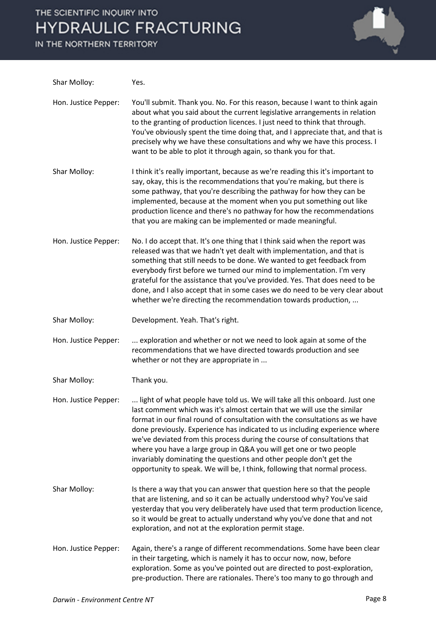# THE SCIENTIFIC INQUIRY INTO **HYDRAULIC FRACTURING**

IN THE NORTHERN TERRITORY



| Shar Molloy:         | Yes.                                                                                                                                                                                                                                                                                                                                                                                                                                                                                                                                                                                                                    |
|----------------------|-------------------------------------------------------------------------------------------------------------------------------------------------------------------------------------------------------------------------------------------------------------------------------------------------------------------------------------------------------------------------------------------------------------------------------------------------------------------------------------------------------------------------------------------------------------------------------------------------------------------------|
| Hon. Justice Pepper: | You'll submit. Thank you. No. For this reason, because I want to think again<br>about what you said about the current legislative arrangements in relation<br>to the granting of production licences. I just need to think that through.<br>You've obviously spent the time doing that, and I appreciate that, and that is<br>precisely why we have these consultations and why we have this process. I<br>want to be able to plot it through again, so thank you for that.                                                                                                                                             |
| Shar Molloy:         | I think it's really important, because as we're reading this it's important to<br>say, okay, this is the recommendations that you're making, but there is<br>some pathway, that you're describing the pathway for how they can be<br>implemented, because at the moment when you put something out like<br>production licence and there's no pathway for how the recommendations<br>that you are making can be implemented or made meaningful.                                                                                                                                                                          |
| Hon. Justice Pepper: | No. I do accept that. It's one thing that I think said when the report was<br>released was that we hadn't yet dealt with implementation, and that is<br>something that still needs to be done. We wanted to get feedback from<br>everybody first before we turned our mind to implementation. I'm very<br>grateful for the assistance that you've provided. Yes. That does need to be<br>done, and I also accept that in some cases we do need to be very clear about<br>whether we're directing the recommendation towards production,                                                                                 |
| Shar Molloy:         | Development. Yeah. That's right.                                                                                                                                                                                                                                                                                                                                                                                                                                                                                                                                                                                        |
| Hon. Justice Pepper: | exploration and whether or not we need to look again at some of the<br>recommendations that we have directed towards production and see<br>whether or not they are appropriate in                                                                                                                                                                                                                                                                                                                                                                                                                                       |
| Shar Molloy:         | Thank you.                                                                                                                                                                                                                                                                                                                                                                                                                                                                                                                                                                                                              |
| Hon. Justice Pepper: | light of what people have told us. We will take all this onboard. Just one<br>last comment which was it's almost certain that we will use the similar<br>format in our final round of consultation with the consultations as we have<br>done previously. Experience has indicated to us including experience where<br>we've deviated from this process during the course of consultations that<br>where you have a large group in Q&A you will get one or two people<br>invariably dominating the questions and other people don't get the<br>opportunity to speak. We will be, I think, following that normal process. |
| Shar Molloy:         | Is there a way that you can answer that question here so that the people<br>that are listening, and so it can be actually understood why? You've said<br>yesterday that you very deliberately have used that term production licence,<br>so it would be great to actually understand why you've done that and not<br>exploration, and not at the exploration permit stage.                                                                                                                                                                                                                                              |
| Hon. Justice Pepper: | Again, there's a range of different recommendations. Some have been clear<br>in their targeting, which is namely it has to occur now, now, before<br>exploration. Some as you've pointed out are directed to post-exploration,<br>pre-production. There are rationales. There's too many to go through and                                                                                                                                                                                                                                                                                                              |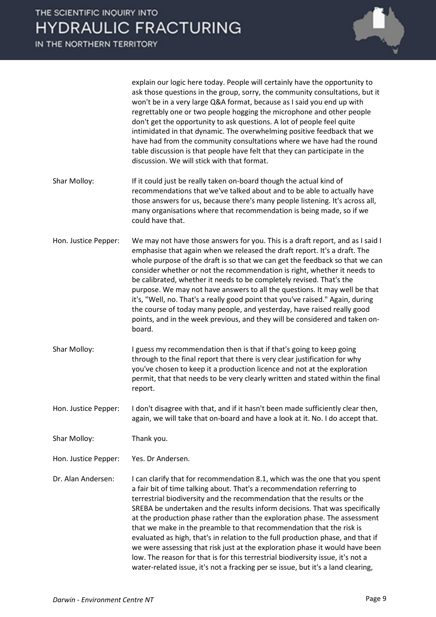

explain our logic here today. People will certainly have the opportunity to ask those questions in the group, sorry, the community consultations, but it won't be in a very large Q&A format, because as I said you end up with regrettably one or two people hogging the microphone and other people don't get the opportunity to ask questions. A lot of people feel quite intimidated in that dynamic. The overwhelming positive feedback that we have had from the community consultations where we have had the round table discussion is that people have felt that they can participate in the discussion. We will stick with that format.

- Shar Molloy: If it could just be really taken on-board though the actual kind of recommendations that we've talked about and to be able to actually have those answers for us, because there's many people listening. It's across all, many organisations where that recommendation is being made, so if we could have that.
- Hon. Justice Pepper: We may not have those answers for you. This is a draft report, and as I said I emphasise that again when we released the draft report. It's a draft. The whole purpose of the draft is so that we can get the feedback so that we can consider whether or not the recommendation is right, whether it needs to be calibrated, whether it needs to be completely revised. That's the purpose. We may not have answers to all the questions. It may well be that it's, "Well, no. That's a really good point that you've raised." Again, during the course of today many people, and yesterday, have raised really good points, and in the week previous, and they will be considered and taken onboard.
- Shar Molloy: I guess my recommendation then is that if that's going to keep going through to the final report that there is very clear justification for why you've chosen to keep it a production licence and not at the exploration permit, that that needs to be very clearly written and stated within the final report.
- Hon. Justice Pepper: I don't disagree with that, and if it hasn't been made sufficiently clear then, again, we will take that on-board and have a look at it. No. I do accept that.
- Shar Molloy: Thank you.
- Hon. Justice Pepper: Yes. Dr Andersen.
- Dr. Alan Andersen: I can clarify that for recommendation 8.1, which was the one that you spent a fair bit of time talking about. That's a recommendation referring to terrestrial biodiversity and the recommendation that the results or the SREBA be undertaken and the results inform decisions. That was specifically at the production phase rather than the exploration phase. The assessment that we make in the preamble to that recommendation that the risk is evaluated as high, that's in relation to the full production phase, and that if we were assessing that risk just at the exploration phase it would have been low. The reason for that is for this terrestrial biodiversity issue, it's not a water-related issue, it's not a fracking per se issue, but it's a land clearing,